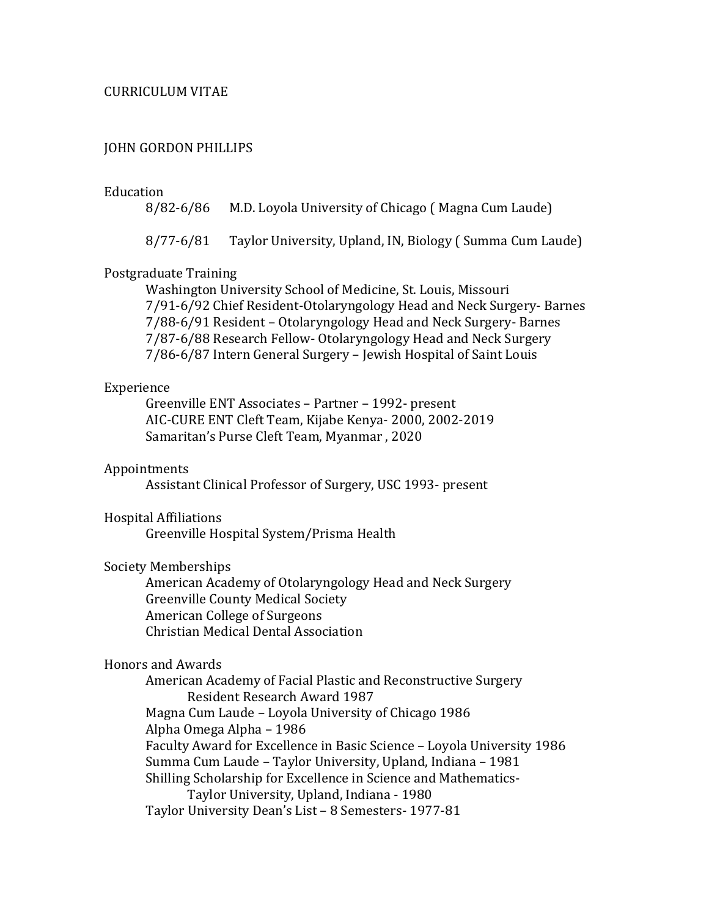# CURRICULUM VITAE

# JOHN GORDON PHILLIPS

Education<br>8/82-6/86 M.D. Loyola University of Chicago ( Magna Cum Laude)

8/77-6/81 Taylor University, Upland, IN, Biology ( Summa Cum Laude)

# Postgraduate Training

Washington University School of Medicine, St. Louis, Missouri 7/91-6/92 Chief Resident-Otolaryngology Head and Neck Surgery- Barnes 7/88-6/91 Resident – Otolaryngology Head and Neck Surgery- Barnes 7/87-6/88 Research Fellow- Otolaryngology Head and Neck Surgery 7/86-6/87 Intern General Surgery – Jewish Hospital of Saint Louis

### Experience

Greenville ENT Associates – Partner – 1992- present AIC-CURE ENT Cleft Team, Kijabe Kenya- 2000, 2002-2019 Samaritan's Purse Cleft Team, Myanmar , 2020

#### Appointments

Assistant Clinical Professor of Surgery, USC 1993- present

## Hospital Affiliations

Greenville Hospital System/Prisma Health

# Society Memberships

American Academy of Otolaryngology Head and Neck Surgery Greenville County Medical Society American College of Surgeons Christian Medical Dental Association

# Honors and Awards

American Academy of Facial Plastic and Reconstructive Surgery Resident Research Award 1987 Magna Cum Laude – Loyola University of Chicago 1986 Alpha Omega Alpha – 1986 Faculty Award for Excellence in Basic Science – Loyola University 1986 Summa Cum Laude – Taylor University, Upland, Indiana – 1981 Shilling Scholarship for Excellence in Science and Mathematics- Taylor University, Upland, Indiana - 1980 Taylor University Dean's List – 8 Semesters- 1977-81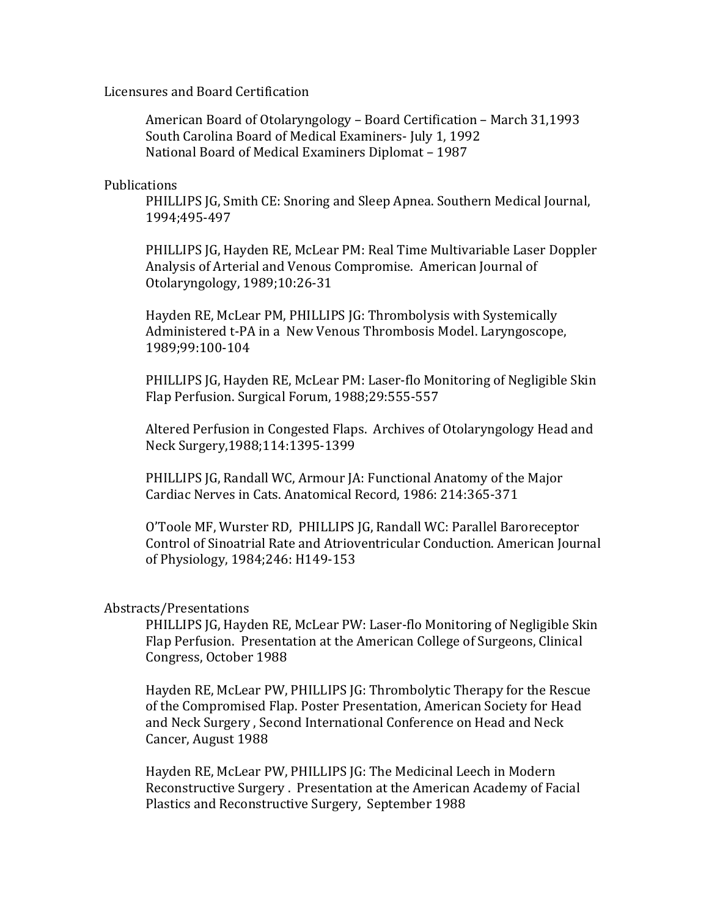Licensures and Board Certification

American Board of Otolaryngology – Board Certification – March 31,1993 South Carolina Board of Medical Examiners- July 1, 1992 National Board of Medical Examiners Diplomat – 1987

Publications

PHILLIPS JG, Smith CE: Snoring and Sleep Apnea. Southern Medical Journal, 1994;495-497

PHILLIPS JG, Hayden RE, McLear PM: Real Time Multivariable Laser Doppler Analysis of Arterial and Venous Compromise. American Journal of Otolaryngology, 1989;10:26-31

Hayden RE, McLear PM, PHILLIPS JG: Thrombolysis with Systemically Administered t-PA in a New Venous Thrombosis Model. Laryngoscope, 1989;99:100-104

PHILLIPS JG, Hayden RE, McLear PM: Laser-flo Monitoring of Negligible Skin Flap Perfusion. Surgical Forum, 1988;29:555-557

Altered Perfusion in Congested Flaps. Archives of Otolaryngology Head and Neck Surgery,1988;114:1395-1399

PHILLIPS JG, Randall WC, Armour JA: Functional Anatomy of the Major Cardiac Nerves in Cats. Anatomical Record, 1986: 214:365-371

O'Toole MF, Wurster RD, PHILLIPS JG, Randall WC: Parallel Baroreceptor Control of Sinoatrial Rate and Atrioventricular Conduction. American Journal of Physiology, 1984;246: H149-153

# Abstracts/Presentations

PHILLIPS JG, Hayden RE, McLear PW: Laser-flo Monitoring of Negligible Skin Flap Perfusion. Presentation at the American College of Surgeons, Clinical Congress, October 1988

Hayden RE, McLear PW, PHILLIPS JG: Thrombolytic Therapy for the Rescue of the Compromised Flap. Poster Presentation, American Society for Head and Neck Surgery , Second International Conference on Head and Neck Cancer, August 1988

Hayden RE, McLear PW, PHILLIPS JG: The Medicinal Leech in Modern Reconstructive Surgery . Presentation at the American Academy of Facial Plastics and Reconstructive Surgery, September 1988